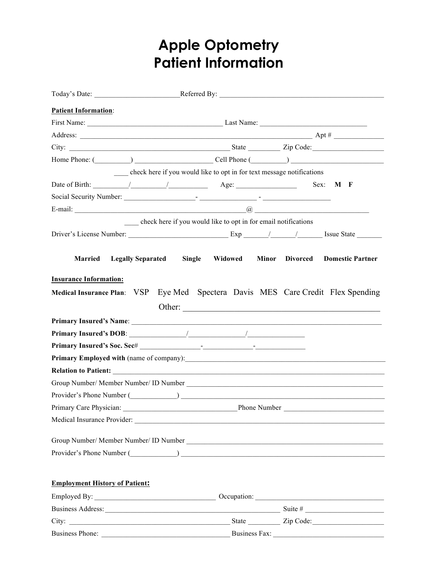## **Apple Optometry Patient Information**

| <b>Patient Information:</b>                                                                                                                                                                                                                                                                        |                                                                |  |                                        |
|----------------------------------------------------------------------------------------------------------------------------------------------------------------------------------------------------------------------------------------------------------------------------------------------------|----------------------------------------------------------------|--|----------------------------------------|
|                                                                                                                                                                                                                                                                                                    |                                                                |  |                                        |
| Address: $\overline{\phantom{a}}$ Apt $\#$ $\overline{\phantom{a}}$                                                                                                                                                                                                                                |                                                                |  |                                        |
|                                                                                                                                                                                                                                                                                                    |                                                                |  |                                        |
| Home Phone: (Channel Cell Phone (Channel Cell Phone (Channel Cell Phone Channel Cell Phone Channel Cell Phone Channel Cell Phone Channel Channel Channel Channel Channel Channel Channel Channel Channel Channel Channel Chann                                                                     |                                                                |  |                                        |
| check here if you would like to opt in for text message notifications                                                                                                                                                                                                                              |                                                                |  |                                        |
|                                                                                                                                                                                                                                                                                                    |                                                                |  |                                        |
|                                                                                                                                                                                                                                                                                                    |                                                                |  |                                        |
|                                                                                                                                                                                                                                                                                                    |                                                                |  |                                        |
|                                                                                                                                                                                                                                                                                                    | check here if you would like to opt in for email notifications |  |                                        |
|                                                                                                                                                                                                                                                                                                    |                                                                |  |                                        |
|                                                                                                                                                                                                                                                                                                    |                                                                |  |                                        |
| <b>Married</b><br><b>Legally Separated</b>                                                                                                                                                                                                                                                         | Single Widowed                                                 |  | <b>Minor</b> Divorced Domestic Partner |
| <b>Insurance Information:</b>                                                                                                                                                                                                                                                                      |                                                                |  |                                        |
| Medical Insurance Plan: VSP Eye Med Spectera Davis MES Care Credit Flex Spending                                                                                                                                                                                                                   |                                                                |  |                                        |
|                                                                                                                                                                                                                                                                                                    |                                                                |  |                                        |
|                                                                                                                                                                                                                                                                                                    | Other:                                                         |  |                                        |
|                                                                                                                                                                                                                                                                                                    |                                                                |  |                                        |
| Primary Insured's DOB: $\frac{1}{2}$ / $\frac{1}{2}$ / $\frac{1}{2}$ / $\frac{1}{2}$ / $\frac{1}{2}$ / $\frac{1}{2}$ / $\frac{1}{2}$ / $\frac{1}{2}$ / $\frac{1}{2}$ / $\frac{1}{2}$ / $\frac{1}{2}$ / $\frac{1}{2}$ / $\frac{1}{2}$ / $\frac{1}{2}$ / $\frac{1}{2}$ / $\frac{1}{2}$ / $\frac{1}{$ |                                                                |  |                                        |
|                                                                                                                                                                                                                                                                                                    |                                                                |  |                                        |
|                                                                                                                                                                                                                                                                                                    |                                                                |  |                                        |
|                                                                                                                                                                                                                                                                                                    |                                                                |  |                                        |
| Provider's Phone Number (Change and Changes and Changes and Changes and Changes and Changes and Changes and Changes and Changes and Changes and Changes and Changes and Changes and Changes and Changes and Changes and Change                                                                     |                                                                |  |                                        |
| Primary Care Physician:                                                                                                                                                                                                                                                                            |                                                                |  |                                        |
|                                                                                                                                                                                                                                                                                                    |                                                                |  |                                        |
|                                                                                                                                                                                                                                                                                                    |                                                                |  |                                        |
|                                                                                                                                                                                                                                                                                                    |                                                                |  |                                        |
| Provider's Phone Number (Changel and Changel and Changel and Changel and Changel and Changel and Changel and Changel and Changel and Changel and Changel and Changel and Changel and Changel and Changel and Changel and Chang                                                                     |                                                                |  |                                        |
|                                                                                                                                                                                                                                                                                                    |                                                                |  |                                        |
| <b>Employment History of Patient:</b>                                                                                                                                                                                                                                                              |                                                                |  |                                        |
|                                                                                                                                                                                                                                                                                                    |                                                                |  |                                        |
|                                                                                                                                                                                                                                                                                                    |                                                                |  |                                        |
|                                                                                                                                                                                                                                                                                                    |                                                                |  |                                        |
| Business Phone: Business Fax:                                                                                                                                                                                                                                                                      |                                                                |  |                                        |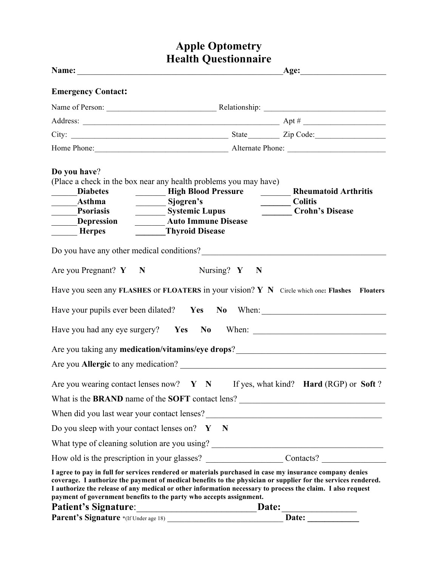## **Apple Optometry Health Questionnaire**

| <b>Emergency Contact:</b>                                                                                                                                                                                                                                                                                                                                                                                     |                                    |                                                           |  |
|---------------------------------------------------------------------------------------------------------------------------------------------------------------------------------------------------------------------------------------------------------------------------------------------------------------------------------------------------------------------------------------------------------------|------------------------------------|-----------------------------------------------------------|--|
|                                                                                                                                                                                                                                                                                                                                                                                                               |                                    |                                                           |  |
|                                                                                                                                                                                                                                                                                                                                                                                                               |                                    |                                                           |  |
|                                                                                                                                                                                                                                                                                                                                                                                                               |                                    |                                                           |  |
|                                                                                                                                                                                                                                                                                                                                                                                                               |                                    |                                                           |  |
| Do you have?<br>(Place a check in the box near any health problems you may have)<br><b>Diabetes</b><br>Sjogren's<br>_______Asthma<br>Psoriasis<br>Systemic Lupus<br><b>Auto Immune Disease</b><br>Depression<br><b>Thyroid Disease</b><br><b>Merpes</b>                                                                                                                                                       | <b>EXAMPLE High Blood Pressure</b> | <b>Rheumatoid Arthritis</b><br>Colitis<br>Crohn's Disease |  |
| Do you have any other medical conditions?<br><u>Letting</u> and the set of the set of the set of the set of the set of the set of the set of the set of the set of the set of the set of the set of the set of the set of the set of                                                                                                                                                                          |                                    |                                                           |  |
| Are you Pregnant? $Y \t N$                                                                                                                                                                                                                                                                                                                                                                                    | Nursing? $Y \t N$                  |                                                           |  |
| Have you seen any FLASHES or FLOATERS in your vision? Y N Circle which one: Flashes Floaters                                                                                                                                                                                                                                                                                                                  |                                    |                                                           |  |
| Have your pupils ever been dilated?  Yes  No  When:                                                                                                                                                                                                                                                                                                                                                           |                                    |                                                           |  |
| Have you had any eye surgery?  Yes  No  When: ___________________________________                                                                                                                                                                                                                                                                                                                             |                                    |                                                           |  |
| Are you taking any medication/vitamins/eye drops?________________________________                                                                                                                                                                                                                                                                                                                             |                                    |                                                           |  |
|                                                                                                                                                                                                                                                                                                                                                                                                               |                                    |                                                           |  |
| Are you wearing contact lenses now? $Y \ N$ If yes, what kind? Hard (RGP) or Soft?                                                                                                                                                                                                                                                                                                                            |                                    |                                                           |  |
| What is the <b>BRAND</b> name of the <b>SOFT</b> contact lens?                                                                                                                                                                                                                                                                                                                                                |                                    |                                                           |  |
| When did you last wear your contact lenses?<br><u> </u>                                                                                                                                                                                                                                                                                                                                                       |                                    |                                                           |  |
| Do you sleep with your contact lenses on? $Y \times N$                                                                                                                                                                                                                                                                                                                                                        |                                    |                                                           |  |
| What type of cleaning solution are you using? ___________________________________                                                                                                                                                                                                                                                                                                                             |                                    |                                                           |  |
| How old is the prescription in your glasses? Contacts?                                                                                                                                                                                                                                                                                                                                                        |                                    |                                                           |  |
| I agree to pay in full for services rendered or materials purchased in case my insurance company denies<br>coverage. I authorize the payment of medical benefits to the physician or supplier for the services rendered.<br>I authorize the release of any medical or other information necessary to process the claim. I also request<br>payment of government benefits to the party who accepts assignment. |                                    |                                                           |  |
| Patient's Signature: 1997                                                                                                                                                                                                                                                                                                                                                                                     |                                    | Date:                                                     |  |
| Parent's Signature *(If Under age 18)                                                                                                                                                                                                                                                                                                                                                                         |                                    |                                                           |  |